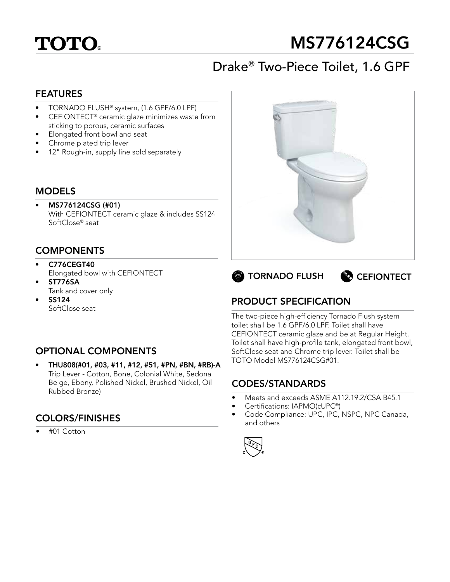

# MS776124CSG

## Drake® Two-Piece Toilet, 1.6 GPF

#### FEATURES

- TORNADO FLUSH® system, (1.6 GPF/6.0 LPF)
- CEFIONTECT<sup>®</sup> ceramic glaze minimizes waste from sticking to porous, ceramic surfaces
- Elongated front bowl and seat
- Chrome plated trip lever
- 12" Rough-in, supply line sold separately

#### MODELS

• MS776124CSG (#01) With CEFIONTECT ceramic glaze & includes SS124 SoftClose® seat

## **COMPONENTS**

- C776CEGT40 Elongated bowl with CEFIONTECT
- ST776SA Tank and cover only
- SS124 SoftClose seat

## OPTIONAL COMPONENTS

• THU808(#01, #03, #11, #12, #51, #PN, #BN, #RB)-A Trip Lever - Cotton, Bone, Colonial White, Sedona Beige, Ebony, Polished Nickel, Brushed Nickel, Oil Rubbed Bronze)

## COLORS/FINISHES

• #01 Cotton







## PRODUCT SPECIFICATION

The two-piece high-efficiency Tornado Flush system toilet shall be 1.6 GPF/6.0 LPF. Toilet shall have CEFIONTECT ceramic glaze and be at Regular Height. Toilet shall have high-profile tank, elongated front bowl, SoftClose seat and Chrome trip lever. Toilet shall be TOTO Model MS776124CSG#01.

## CODES/STANDARDS

- Meets and exceeds ASME A112.19.2/CSA B45.1
- Certifications: IAPMO(cUPC®)
- Code Compliance: UPC, IPC, NSPC, NPC Canada, and others